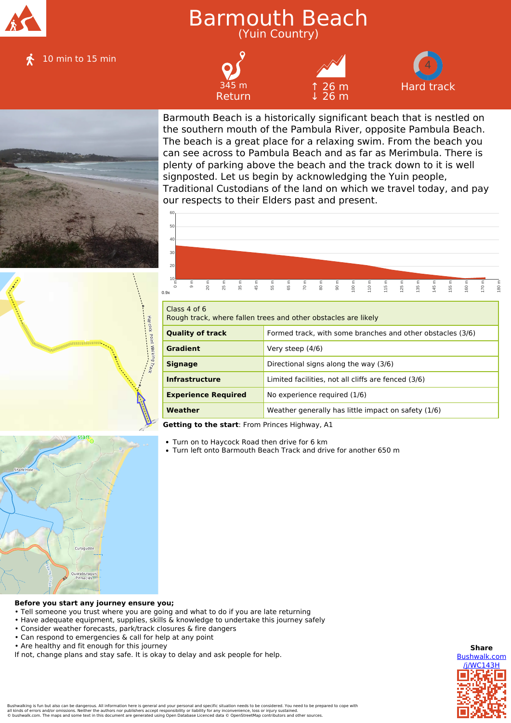

10 min to 15 min



345 m Return





Barmouth Beach is a historically significant beach that is nestled on the southern mouth of the Pambula River, opposite Pambula Beach. The beach is a great place for a relaxing swim. From the beach you can see across to Pambula Beach and as far as Merimbula. There is plenty of parking above the beach and the track down to it is well signposted. Let us begin by acknowledging the Yuin people, Traditional Custodians of the land on which we travel today, and pay our respects to their Elders past and present.



|  | Rough track, where fallen trees and other obstacles are likely |  |
|--|----------------------------------------------------------------|--|

| <b>Quality of track</b>    | Formed track, with some branches and other obstacles (3/6) |  |
|----------------------------|------------------------------------------------------------|--|
| Gradient                   | Very steep (4/6)                                           |  |
| <b>Signage</b>             | Directional signs along the way (3/6)                      |  |
| <b>Infrastructure</b>      | Limited facilities, not all cliffs are fenced (3/6)        |  |
| <b>Experience Required</b> | No experience required (1/6)                               |  |
| Weather                    | Weather generally has little impact on safety (1/6)        |  |
|                            |                                                            |  |

**Getting to the start**: From Princes Highway, A1

- Turn on to Haycock Road then drive for 6 km
- Turn left onto Barmouth Beach Track and drive for another 650 m



## **Before you start any journey ensure you;**

- Tell someone you trust where you are going and what to do if you are late returning
- Have adequate equipment, supplies, skills & knowledge to undertake this journey safely
- Consider weather forecasts, park/track closures & fire dangers
- Can respond to emergencies & call for help at any point
- Are healthy and fit enough for this journey
- If not, change plans and stay safe. It is okay to delay and ask people for help.



Bushwalking is fun but also can be dangerous. All information here is general and your personal and specific situation needs to be considered. You need to be prepared to cope with<br>all kinds of errors and/or omissions. Nei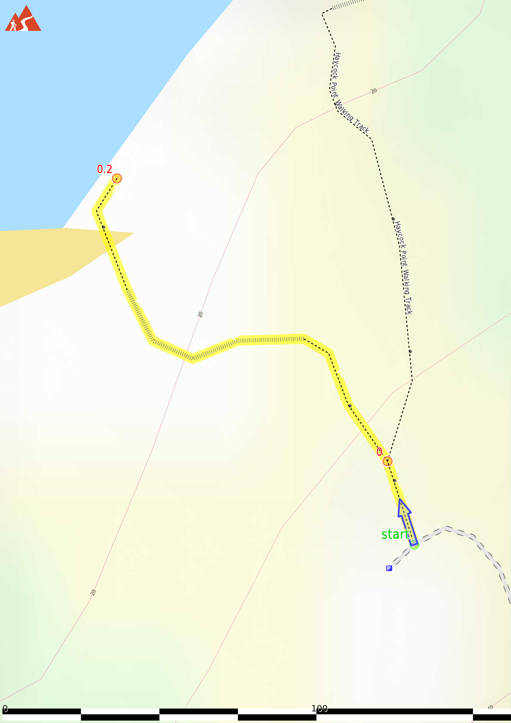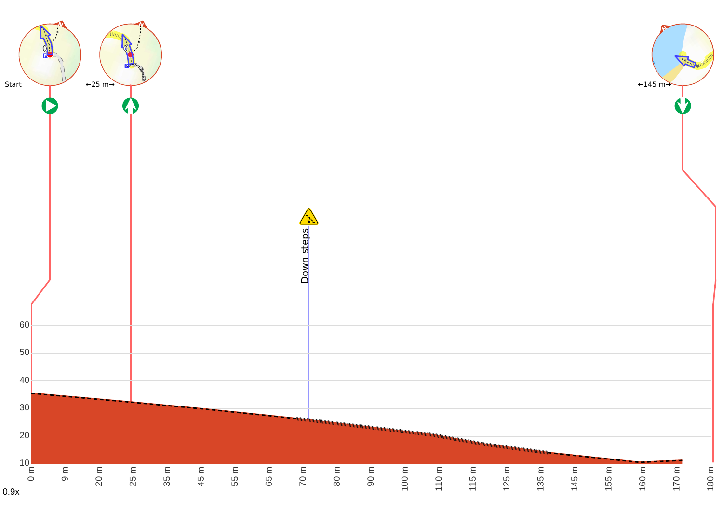